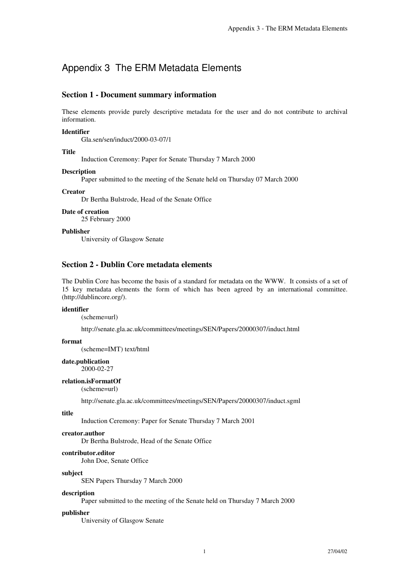# Appendix 3 The ERM Metadata Elements

# **Section 1 - Document summary information**

These elements provide purely descriptive metadata for the user and do not contribute to archival information.

# **Identifier**

Gla.sen/sen/induct/2000-03-07/1

# **Title**

Induction Ceremony: Paper for Senate Thursday 7 March 2000

# **Description**

Paper submitted to the meeting of the Senate held on Thursday 07 March 2000

# **Creator**

Dr Bertha Bulstrode, Head of the Senate Office

# **Date of creation**

25 February 2000

# **Publisher**

University of Glasgow Senate

# **Section 2 - Dublin Core metadata elements**

The Dublin Core has become the basis of a standard for metadata on the WWW. It consists of a set of 15 key metadata elements the form of which has been agreed by an international committee. (http://dublincore.org/).

# **identifier**

(scheme=url)

http://senate.gla.ac.uk/committees/meetings/SEN/Papers/20000307/induct.html

# **format**

(scheme=IMT) text/html

# **date.publication**

2000-02-27

### **relation.isFormatOf**

(scheme=url)

http://senate.gla.ac.uk/committees/meetings/SEN/Papers/20000307/induct.sgml

#### **title**

Induction Ceremony: Paper for Senate Thursday 7 March 2001

#### **creator.author**

Dr Bertha Bulstrode, Head of the Senate Office

#### **contributor.editor**

John Doe, Senate Office

#### **subject**

SEN Papers Thursday 7 March 2000

#### **description**

Paper submitted to the meeting of the Senate held on Thursday 7 March 2000

#### **publisher**

University of Glasgow Senate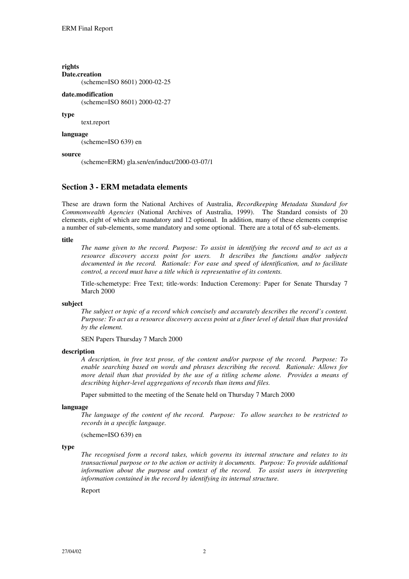**rights Date.creation** (scheme=ISO 8601) 2000-02-25

# **date.modification**

(scheme=ISO 8601) 2000-02-27

#### **type**

text.report

#### **language**

(scheme=ISO 639) en

### **source**

(scheme=ERM) gla.sen/en/induct/2000-03-07/1

# **Section 3 - ERM metadata elements**

These are drawn form the National Archives of Australia, *Recordkeeping Metadata Standard for Commonwealth Agencies* (National Archives of Australia, 1999). The Standard consists of 20 elements, eight of which are mandatory and 12 optional. In addition, many of these elements comprise a number of sub-elements, some mandatory and some optional. There are a total of 65 sub-elements.

### **title**

*The name given to the record. Purpose: To assist in identifying the record and to act as a resource discovery access point for users. It describes the functions and/or subjects documented in the record. Rationale: For ease and speed of identification, and to facilitate control, a record must have a title which is representative of its contents.*

Title-schemetype: Free Text; title-words: Induction Ceremony: Paper for Senate Thursday 7 March 2000

### **subject**

*The subject or topic of a record which concisely and accurately describes the record's content. Purpose: To act as a resource discovery access point at a finer level of detail than that provided by the element.*

SEN Papers Thursday 7 March 2000

#### **description**

*A description, in free text prose, of the content and/or purpose of the record. Purpose: To enable searching based on words and phrases describing the record. Rationale: Allows for more detail than that provided by the use of a titling scheme alone. Provides a means of describing higher-level aggregations of records than items and files.*

Paper submitted to the meeting of the Senate held on Thursday 7 March 2000

#### **language**

*The language of the content of the record. Purpose: To allow searches to be restricted to records in a specific language.*

(scheme=ISO 639) en

### **type**

*The recognised form a record takes, which governs its internal structure and relates to its transactional purpose or to the action or activity it documents. Purpose: To provide additional information about the purpose and context of the record. To assist users in interpreting information contained in the record by identifying its internal structure.*

Report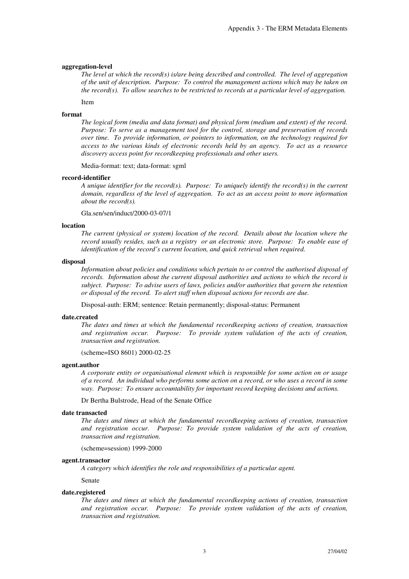# **aggregation-level**

*The level at which the record(s) is/are being described and controlled. The level of aggregation of the unit of description. Purpose: To control the management actions which may be taken on the record(s). To allow searches to be restricted to records at a particular level of aggregation.*

Item

### **format**

*The logical form (media and data format) and physical form (medium and extent) of the record. Purpose: To serve as a management tool for the control, storage and preservation of records over time. To provide information, or pointers to information, on the technology required for access to the various kinds of electronic records held by an agency. To act as a resource discovery access point for recordkeeping professionals and other users.*

Media-format: text; data-format: sgml

#### **record-identifier**

*A unique identifier for the record(s). Purpose: To uniquely identify the record(s) in the current domain, regardless of the level of aggregation. To act as an access point to more information about the record(s).*

Gla.sen/sen/induct/2000-03-07/1

#### **location**

*The current (physical or system) location of the record. Details about the location where the record usually resides, such as a registry or an electronic store. Purpose: To enable ease of identification of the record's current location, and quick retrieval when required.*

### **disposal**

*Information about policies and conditions which pertain to or control the authorised disposal of records. Information about the current disposal authorities and actions to which the record is subject. Purpose: To advise users of laws, policies and/or authorities that govern the retention or disposal of the record. To alert staff when disposal actions for records are due.*

Disposal-auth: ERM; sentence: Retain permanently; disposal-status: Permanent

### **date.created**

*The dates and times at which the fundamental recordkeeping actions of creation, transaction and registration occur. Purpose: To provide system validation of the acts of creation, transaction and registration.*

(scheme=ISO 8601) 2000-02-25

#### **agent.author**

*A corporate entity or organisational element which is responsible for some action on or usage of a record. An individual who performs some action on a record, or who uses a record in some way. Purpose: To ensure accountability for important record keeping decisions and actions.*

Dr Bertha Bulstrode, Head of the Senate Office

#### **date transacted**

*The dates and times at which the fundamental recordkeeping actions of creation, transaction and registration occur. Purpose: To provide system validation of the acts of creation, transaction and registration.*

(scheme=session) 1999-2000

#### **agent.transactor**

*A category which identifies the role and responsibilities of a particular agent.*

Senate

# **date.registered**

*The dates and times at which the fundamental recordkeeping actions of creation, transaction and registration occur. Purpose: To provide system validation of the acts of creation, transaction and registration.*